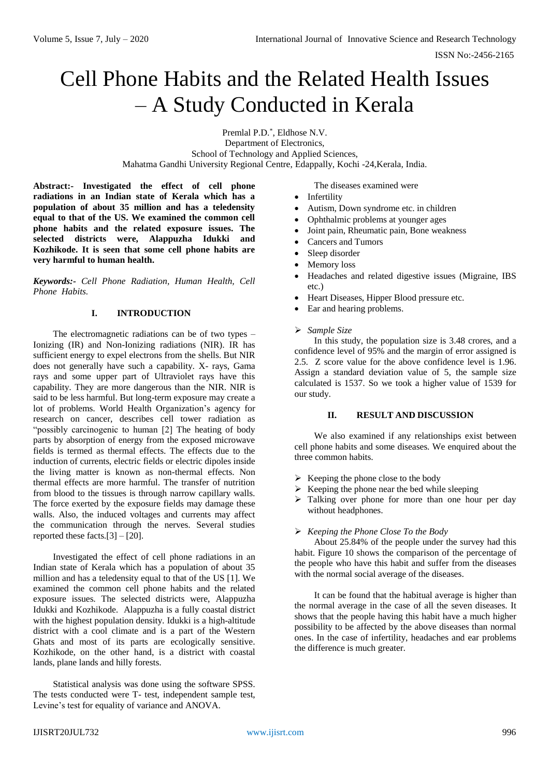# Cell Phone Habits and the Related Health Issues – A Study Conducted in Kerala

Premlal P.D.\* , Eldhose N.V. Department of Electronics, School of Technology and Applied Sciences, Mahatma Gandhi University Regional Centre, Edappally, Kochi -24,Kerala, India.

**Abstract:- Investigated the effect of cell phone radiations in an Indian state of Kerala which has a population of about 35 million and has a teledensity equal to that of the US. We examined the common cell phone habits and the related exposure issues. The selected districts were, Alappuzha Idukki and Kozhikode. It is seen that some cell phone habits are very harmful to human health.**

*Keywords:- Cell Phone Radiation, Human Health, Cell Phone Habits.*

## **I. INTRODUCTION**

The electromagnetic radiations can be of two types – Ionizing (IR) and Non-Ionizing radiations (NIR). IR has sufficient energy to expel electrons from the shells. But NIR does not generally have such a capability. X- rays, Gama rays and some upper part of Ultraviolet rays have this capability. They are more dangerous than the NIR. NIR is said to be less harmful. But long-term exposure may create a lot of problems. World Health Organization's agency for research on cancer, describes cell tower radiation as "possibly carcinogenic to human [2] The heating of body parts by absorption of energy from the exposed microwave fields is termed as thermal effects. The effects due to the induction of currents, electric fields or electric dipoles inside the living matter is known as non-thermal effects. Non thermal effects are more harmful. The transfer of nutrition from blood to the tissues is through narrow capillary walls. The force exerted by the exposure fields may damage these walls. Also, the induced voltages and currents may affect the communication through the nerves. Several studies reported these facts.[3] – [20].

Investigated the effect of cell phone radiations in an Indian state of Kerala which has a population of about 35 million and has a teledensity equal to that of the US [1]. We examined the common cell phone habits and the related exposure issues. The selected districts were, Alappuzha Idukki and Kozhikode. Alappuzha is a fully coastal district with the highest population density. Idukki is a high-altitude district with a cool climate and is a part of the Western Ghats and most of its parts are ecologically sensitive. Kozhikode, on the other hand, is a district with coastal lands, plane lands and hilly forests.

Statistical analysis was done using the software SPSS. The tests conducted were T- test, independent sample test, Levine's test for equality of variance and ANOVA.

The diseases examined were

- Infertility
- Autism, Down syndrome etc. in children
- Ophthalmic problems at younger ages
- Joint pain, Rheumatic pain, Bone weakness
- Cancers and Tumors
- Sleep disorder
- Memory loss
- Headaches and related digestive issues (Migraine, IBS etc.)
- Heart Diseases, Hipper Blood pressure etc.
- Ear and hearing problems.

### *Sample Size*

In this study, the population size is 3.48 crores, and a confidence level of 95% and the margin of error assigned is 2.5. Z score value for the above confidence level is 1.96. Assign a standard deviation value of 5, the sample size calculated is 1537. So we took a higher value of 1539 for our study.

## **II. RESULT AND DISCUSSION**

We also examined if any relationships exist between cell phone habits and some diseases. We enquired about the three common habits.

- $\triangleright$  Keeping the phone close to the body
- $\triangleright$  Keeping the phone near the bed while sleeping
- $\triangleright$  Talking over phone for more than one hour per day without headphones.

# *Keeping the Phone Close To the Body*

About 25.84% of the people under the survey had this habit. Figure 10 shows the comparison of the percentage of the people who have this habit and suffer from the diseases with the normal social average of the diseases.

It can be found that the habitual average is higher than the normal average in the case of all the seven diseases. It shows that the people having this habit have a much higher possibility to be affected by the above diseases than normal ones. In the case of infertility, headaches and ear problems the difference is much greater.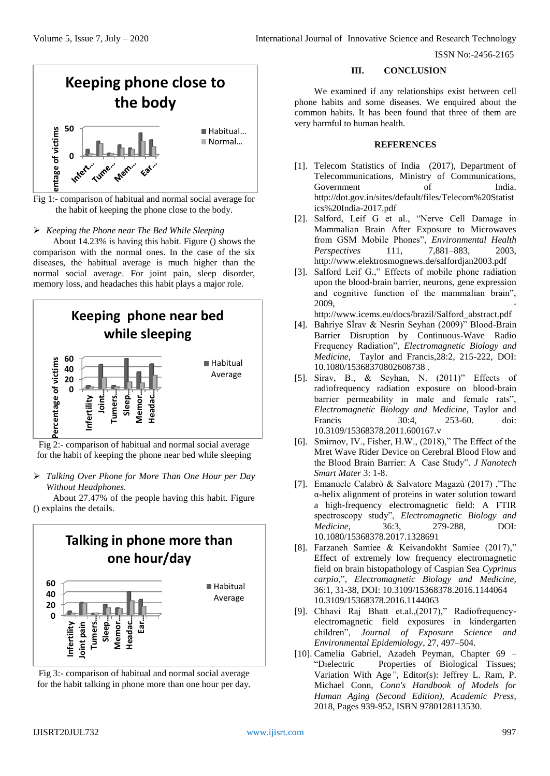ISSN No:-2456-2165



Fig 1:- comparison of habitual and normal social average for the habit of keeping the phone close to the body.

*Keeping the Phone near The Bed While Sleeping*

About 14.23% is having this habit. Figure () shows the comparison with the normal ones. In the case of the six diseases, the habitual average is much higher than the normal social average. For joint pain, sleep disorder, memory loss, and headaches this habit plays a major role.



Fig 2:- comparison of habitual and normal social average for the habit of keeping the phone near bed while sleeping

 *Talking Over Phone for More Than One Hour per Day Without Headphones.*

About 27.47% of the people having this habit. Figure () explains the details.



Fig 3:- comparison of habitual and normal social average for the habit talking in phone more than one hour per day. **III. CONCLUSION**

We examined if any relationships exist between cell phone habits and some diseases. We enquired about the common habits. It has been found that three of them are very harmful to human health.

### **REFERENCES**

- [1]. Telecom Statistics of India (2017), Department of Telecommunications, Ministry of Communications, Government of India. http://dot.gov.in/sites/default/files/Telecom%20Statist ics%20India-2017.pdf
- [2]. Salford, Leif G et al., "Nerve Cell Damage in Mammalian Brain After Exposure to Microwaves from GSM Mobile Phones", *Environmental Health Perspectives* 111, 7,881–883, 2003, http://www.elektrosmognews.de/salfordjan2003.pdf
- [3]. Salford Leif G.," Effects of mobile phone radiation upon the blood-brain barrier, neurons, gene expression and cognitive function of the mammalian brain", 2009, -

http://www.icems.eu/docs/brazil/Salford\_abstract.pdf

- [4]. Bahriye Sİrav & Nesrin Seyhan (2009)" Blood-Brain Barrier Disruption by Continuous-Wave Radio Frequency Radiation", *Electromagnetic Biology and Medicine*, Taylor and Francis,28:2, 215-222, DOI: 10.1080/15368370802608738 .
- [5]. Sirav, B., & Seyhan, N. (2011)" Effects of radiofrequency radiation exposure on blood-brain barrier permeability in male and female rats", *Electromagnetic Biology and Medicine*, Taylor and Francis 30:4, 253-60. doi: 10.3109/15368378.2011.600167.v
- [6]. Smirnov, IV., Fisher, H.W., (2018)," The Effect of the Mret Wave Rider Device on Cerebral Blood Flow and the Blood Brain Barrier: A Case Study". *J Nanotech Smart Mater* 3: 1-8.
- [7]. Emanuele Calabrò & Salvatore Magazù (2017) ,"The α-helix alignment of proteins in water solution toward a high-frequency electromagnetic field: A FTIR spectroscopy study", *Electromagnetic Biology and Medicine*, 36:3, 279-288, DOI: 10.1080/15368378.2017.1328691
- [8]. Farzaneh Samiee & Keivandokht Samiee (2017)," Effect of extremely low frequency electromagnetic field on brain histopathology of Caspian Sea *Cyprinus carpio*,", *Electromagnetic Biology and Medicine,* 36:1, 31-38, DOI: 10.3109/15368378.2016.1144064 10.3109/15368378.2016.1144063
- [9]. Chhavi Raj Bhatt et.al.,(2017)," Radiofrequencyelectromagnetic field exposures in kindergarten children", *Journal of Exposure Science and Environmental Epidemiology*, 27, 497–504.
- [10]. Camelia Gabriel, Azadeh Peyman, Chapter 69 "Dielectric Properties of Biological Tissues; Variation With Age*"*, Editor(s): Jeffrey L. Ram, P. Michael Conn, *Conn's Handbook of Models for Human Aging (Second Edition), Academic Press*, 2018, Pages 939-952, ISBN 9780128113530.